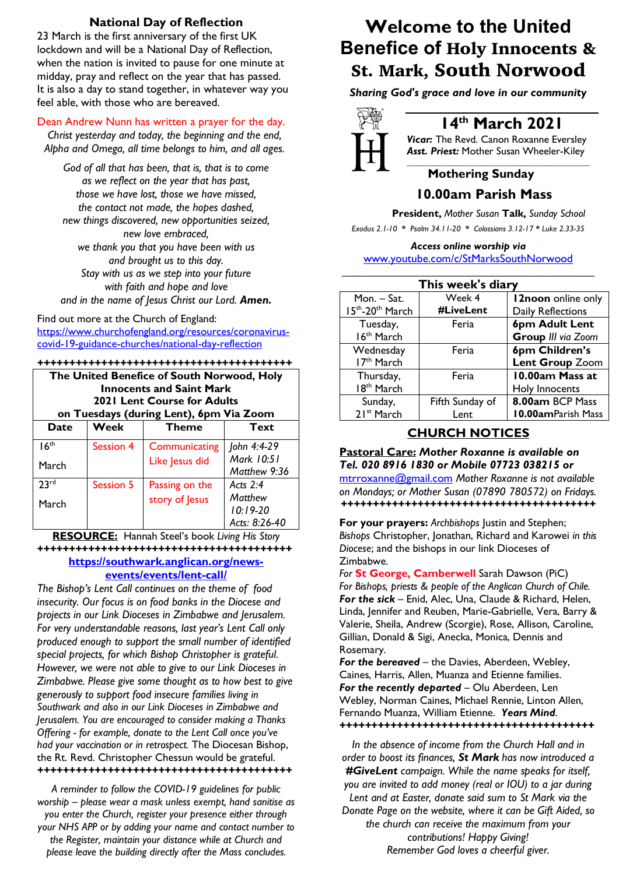# **National Day of Reflection**

23 March is the first anniversary of the first UK lockdown and will be a National Day of Reflection, when the nation is invited to pause for one minute at midday, pray and reflect on the year that has passed. It is also a day to stand together, in whatever way you feel able, with those who are bereaved.

### Dean Andrew Nunn has written a prayer for the day.

*Christ yesterday and today, the beginning and the end, Alpha and Omega, all time belongs to him, and all ages.*

*God of all that has been, that is, that is to come as we reflect on the year that has past, those we have lost, those we have missed, the contact not made, the hopes dashed, new things discovered, new opportunities seized, new love embraced, we thank you that you have been with us and brought us to this day. Stay with us as we step into your future with faith and hope and love and in the name of Jesus Christ our Lord. Amen.*

#### Find out more at the Church of England:

https://www.churchofengland.org/resources/coronaviruscovid-19-guidance-churches/national-day-reflection

#### *++++++++++++++++++++++++++++++++++++++++*

| The United Benefice of South Norwood, Holy<br><b>Innocents and Saint Mark</b><br>2021 Lent Course for Adults<br>on Tuesdays (during Lent), 6pm Via Zoom |           |                |                            |  |
|---------------------------------------------------------------------------------------------------------------------------------------------------------|-----------|----------------|----------------------------|--|
| <b>Date</b>                                                                                                                                             | Week      | <b>Theme</b>   | Text                       |  |
| 16 <sup>th</sup>                                                                                                                                        | Session 4 | Communicating  | John 4:4-29                |  |
| March                                                                                                                                                   |           | Like Jesus did | Mark 10:51<br>Matthew 9:36 |  |
| 23 <sup>rd</sup>                                                                                                                                        | Session 5 | Passing on the | Acts $2.4$                 |  |
| March                                                                                                                                                   |           | story of Jesus | Matthew                    |  |
|                                                                                                                                                         |           |                | $10:19-20$                 |  |
|                                                                                                                                                         |           |                | Acts: 8:26-40              |  |

#### **RESOURCE:** Hannah Steel's book *Living His Story* **++++++++++++++++++++++++++++++++++++++++ https://southwark.anglican.org/newsevents/events/lent-call/**

*The Bishop's Lent Call continues on the theme of food insecurity. Our focus is on food banks in the Diocese and projects in our Link Dioceses in Zimbabwe and Jerusalem. For very understandable reasons, last year's Lent Call only produced enough to support the small number of identified special projects, for which Bishop Christopher is grateful. However, we were not able to give to our Link Dioceses in Zimbabwe. Please give some thought as to how best to give generously to support food insecure families living in Southwark and also in our Link Dioceses in Zimbabwe and Jerusalem. You are encouraged to consider making a Thanks Offering - for example, donate to the Lent Call once you've had your vaccination or in retrospect.* The Diocesan Bishop, the Rt. Revd. Christopher Chessun would be grateful. *++++++++++++++++++++++++++++++++++++++++*

*A reminder to follow the COVID-19 guidelines for public worship – please wear a mask unless exempt, hand sanitise as you enter the Church, register your presence either through your NHS APP or by adding your name and contact number to the Register, maintain your distance while at Church and please leave the building directly after the Mass concludes.*

# **Welcome to the United Benefice of** Holy Innocents & St. Mark, South Norwood

*Sharing God's grace and love in our community*



# **14th March 2021**

*Vicar:* The Revd. Canon Roxanne Eversley *Asst. Priest:* Mother Susan Wheeler-Kiley *\_\_\_\_\_\_\_\_\_\_\_\_\_\_\_\_\_\_\_\_\_\_\_\_\_\_\_\_\_\_\_\_\_\_\_\_\_\_\_\_\_\_\_\_*

# **Mothering Sunday**

# **10.00am Parish Mass**

 **President,** *Mother Susan* **Talk,** *Sunday School*

*Exodus 2.1-10 \* Psalm 34.11-20 \* Colossians 3.12-17 \* Luke 2.33-35*

## *Access online worship via*

www.youtube.com/c/StMarksSouthNorwood

| This week's diary                   |                         |                                              |  |  |
|-------------------------------------|-------------------------|----------------------------------------------|--|--|
| Mon. – Sat.<br>15th-20th March      | Week 4<br>#LiveLent     | 12noon online only<br>Daily Reflections      |  |  |
| Tuesday,<br>16 <sup>th</sup> March  | Feria                   | 6pm Adult Lent<br>Group III via Zoom         |  |  |
| Wednesday<br>17 <sup>th</sup> March | Feria                   | 6pm Children's<br>Lent Group Zoom            |  |  |
| Thursday,<br>18 <sup>th</sup> March | Feria                   | 10.00am Mass at<br>Holy Innocents            |  |  |
| Sunday,<br>21 <sup>st</sup> March   | Fifth Sunday of<br>Lent | 8.00am BCP Mass<br><b>10.00amParish Mass</b> |  |  |

# **CHURCH NOTICES**

**Pastoral Care:** *Mother Roxanne is available on Tel. 020 8916 1830 or Mobile 07723 038215 or* mtrroxanne@gmail.com *Mother Roxanne is not available on Mondays; or Mother Susan (07890 780572) on Fridays. ++++++++++++++++++++++++++++++++++++++++*

**For your prayers:** *Archbishops* Justin and Stephen; *Bishops* Christopher, Jonathan, Richard and Karowei *in this Diocese*; and the bishops in our link Dioceses of Zimbabwe.

*For* **St George, Camberwell** Sarah Dawson (PiC) *For Bishops, priests & people of the Anglican Church of Chile. For the sick* – Enid, Alec, Una, Claude & Richard, Helen, Linda, Jennifer and Reuben, Marie-Gabrielle, Vera, Barry & Valerie, Sheila, Andrew (Scorgie), Rose, Allison, Caroline, Gillian, Donald & Sigi, Anecka, Monica, Dennis and Rosemary.

*For the bereaved –* the Davies, Aberdeen, Webley, Caines, Harris, Allen, Muanza and Etienne families. *For the recently departed* – Olu Aberdeen, Len Webley, Norman Caines, Michael Rennie, Linton Allen, Fernando Muanza, William Etienne. *Years Mind*. *++++++++++++++++++++++++++++++++++++++++*

*In the absence of income from the Church Hall and in order to boost its finances, St Mark has now introduced a #GiveLent campaign. While the name speaks for itself, you are invited to add money (real or IOU) to a jar during Lent and at Easter, donate said sum to St Mark via the Donate Page on the website, where it can be Gift Aided, so the church can receive the maximum from your contributions! Happy Giving! Remember God loves a cheerful giver.*